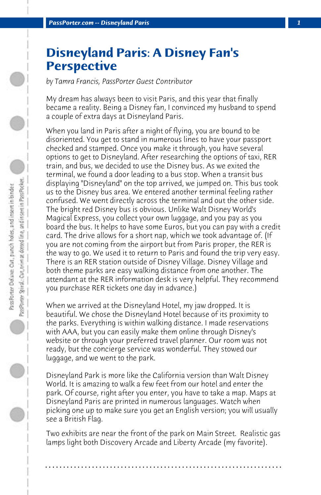## **Disneyland Paris: A Disney Fan's Perspective**

*by Tamra Francis, PassPorter Guest Contributor*

My dream has always been to visit Paris, and this year that finally became a reality. Being a Disney fan, I convinced my husband to spend a couple of extra days at Disneyland Paris.

When you land in Paris after a night of flying, you are bound to be disoriented. You get to stand in numerous lines to have your passport checked and stamped. Once you make it through, you have several options to get to Disneyland. After researching the options of taxi, RER train, and bus, we decided to use the Disney bus. As we exited the terminal, we found a door leading to a bus stop. When a transit bus displaying "Disneyland" on the top arrived, we jumped on. This bus took us to the Disney bus area. We entered another terminal feeling rather confused. We went directly across the terminal and out the other side. The bright red Disney bus is obvious. Unlike Walt Disney World's Magical Express, you collect your own luggage, and you pay as you board the bus. It helps to have some Euros, but you can pay with a credit card. The drive allows for a short nap, which we took advantage of. (If you are not coming from the airport but from Paris proper, the RER is the way to go. We used it to return to Paris and found the trip very easy. There is an RER station outside of Disney Village. Disney Village and both theme parks are easy walking distance from one another. The attendant at the RER information desk is very helpful. They recommend you purchase RER tickets one day in advance.)

When we arrived at the Disneyland Hotel, my jaw dropped. It is beautiful. We chose the Disneyland Hotel because of its proximity to the parks. Everything is within walking distance. I made reservations with AAA, but you can easily make them online through Disney's website or through your preferred travel planner. Our room was not ready, but the concierge service was wonderful. They stowed our luggage, and we went to the park.

Disneyland Park is more like the California version than Walt Disney World. It is amazing to walk a few feet from our hotel and enter the park. Of course, right after you enter, you have to take a map. Maps at Disneyland Paris are printed in numerous languages. Watch when picking one up to make sure you get an English version; you will usually see a British Flag.

Two exhibits are near the front of the park on Main Street. Realistic gas lamps light both Discovery Arcade and Liberty Arcade (my favorite).

**. . . . . . . . . . . . . . . . . . . . . . . . . . . . . . . . . . . . . . . . . . . . . . . . . . . . . . . . . . . . . . . . . .**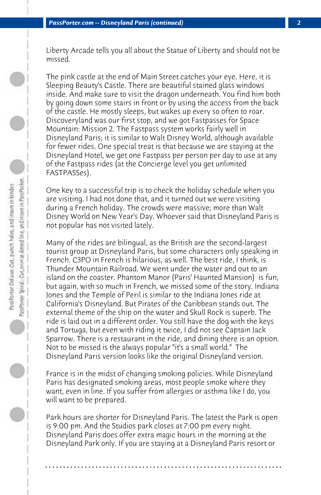Liberty Arcade tells you all about the Statue of Liberty and should not be missed.

The pink castle at the end of Main Street catches your eye. Here, it is Sleeping Beauty's Castle. There are beautiful stained glass windows inside. And make sure to visit the dragon underneath. You find him both by going down some stairs in front or by using the access from the back of the castle. He mostly sleeps, but wakes up every so often to roar. Discoveryland was our first stop, and we got Fastpasses for Space Mountain: Mission 2. The Fastpass system works fairly well in Disneyland Paris; it is similar to Walt Disney World, although available for fewer rides. One special treat is that because we are staying at the Disneyland Hotel, we get one Fastpass per person per day to use at any of the Fastpass rides (at the Concierge level you get unlimited FASTPASSes).

One key to a successful trip is to check the holiday schedule when you are visiting. I had not done that, and it turned out we were visiting during a French holiday. The crowds were massive; more than Walt Disney World on New Year's Day. Whoever said that Disneyland Paris is not popular has not visited lately.

Many of the rides are bilingual, as the British are the second-largest tourist group at Disneyland Paris, but some characters only speaking in French. C3PO in French is hilarious, as well. The best ride, I think, is Thunder Mountain Railroad. We went under the water and out to an island on the coaster. Phantom Manor (Paris' Haunted Mansion) is fun, but again, with so much in French, we missed some of the story. Indiana Jones and the Temple of Peril is similar to the Indiana Jones ride at California's Disneyland. But Pirates of the Caribbean stands out. The external theme of the ship on the water and Skull Rock is superb. The ride is laid out in a different order. You still have the dog with the keys and Tortuga, but even with riding it twice, I did not see Captain Jack Sparrow. There is a restaurant in the ride, and dining there is an option. Not to be missed is the always popular "it's a small world." The Disneyland Paris version looks like the original Disneyland version.

France is in the midst of changing smoking policies. While Disneyland Paris has designated smoking areas, most people smoke where they want, even in line. If you suffer from allergies or asthma like I do, you will want to be prepared.

Park hours are shorter for Disneyland Paris. The latest the Park is open is 9:00 pm. And the Studios park closes at 7:00 pm every night. Disneyland Paris does offer extra magic hours in the morning at the Disneyland Park only. If you are staying at a Disneyland Paris resort or

**. . . . . . . . . . . . . . . . . . . . . . . . . . . . . . . . . . . . . . . . . . . . . . . . . . . . . . . . . . . . . . . . . .**